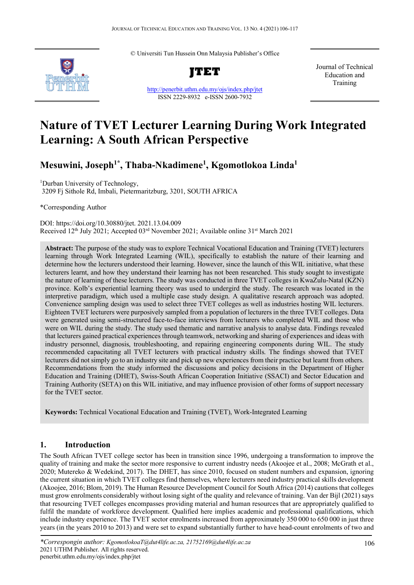© Universiti Tun Hussein Onn Malaysia Publisher's Office



**JTET**

<http://penerbit.uthm.edu.my/ojs/index.php/jtet> ISSN 2229-8932 e-ISSN 2600-7932

Journal of Technical Education and Training

# **Nature of TVET Lecturer Learning During Work Integrated Learning: A South African Perspective**

**Mesuwini, Joseph1\* , Thaba-Nkadimene1 , Kgomotlokoa Linda1**

1 Durban University of Technology, 3209 Fj Sithole Rd, Imbali, Pietermaritzburg, 3201, SOUTH AFRICA

\*Corresponding Author

DOI: https://doi.org/10.30880/jtet. 2021.13.04.009 Received 12<sup>th</sup> July 2021; Accepted 03<sup>rd</sup> November 2021; Available online 31<sup>st</sup> March 2021

**Abstract:** The purpose of the study was to explore Technical Vocational Education and Training (TVET) lecturers learning through Work Integrated Learning (WIL), specifically to establish the nature of their learning and determine how the lecturers understood their learning. However, since the launch of this WIL initiative, what these lecturers learnt, and how they understand their learning has not been researched. This study sought to investigate the nature of learning of these lecturers. The study was conducted in three TVET colleges in KwaZulu-Natal (KZN) province. Kolb's experiential learning theory was used to undergird the study. The research was located in the interpretive paradigm, which used a multiple case study design. A qualitative research approach was adopted. Convenience sampling design was used to select three TVET colleges as well as industries hosting WIL lecturers. Eighteen TVET lecturers were purposively sampled from a population of lecturers in the three TVET colleges. Data were generated using semi-structured face-to-face interviews from lecturers who completed WIL and those who were on WIL during the study. The study used thematic and narrative analysis to analyse data. Findings revealed that lecturers gained practical experiences through teamwork, networking and sharing of experiences and ideas with industry personnel, diagnosis, troubleshooting, and repairing engineering components during WIL. The study recommended capacitating all TVET lecturers with practical industry skills. The findings showed that TVET lecturers did not simply go to an industry site and pick up new experiences from their practice but learnt from others. Recommendations from the study informed the discussions and policy decisions in the Department of Higher Education and Training (DHET), Swiss-South African Cooperation Initiative (SSACI) and Sector Education and Training Authority (SETA) on this WIL initiative, and may influence provision of other forms of support necessary for the TVET sector.

**Keywords:** Technical Vocational Education and Training (TVET), Work-Integrated Learning

# **1. Introduction**

The South African TVET college sector has been in transition since 1996, undergoing a transformation to improve the quality of training and make the sector more responsive to current industry needs (Akoojee et al., 2008; McGrath et al., 2020; Mutereko & Wedekind, 2017). The DHET, has since 2010, focused on student numbers and expansion, ignoring the current situation in which TVET colleges find themselves, where lecturers need industry practical skills development (Akoojee, 2016; Blom, 2019). The Human Resource Development Council for South Africa (2014) cautions that colleges must grow enrolments considerably without losing sight of the quality and relevance of training. Van der Bijl (2021) says that resourcing TVET colleges encompasses providing material and human resources that are appropriately qualified to fulfil the mandate of workforce development. Qualified here implies academic and professional qualifications, which include industry experience. The TVET sector enrolments increased from approximately 350 000 to 650 000 in just three years (in the years 2010 to 2013) and were set to expand substantially further to have head-count enrolments of two and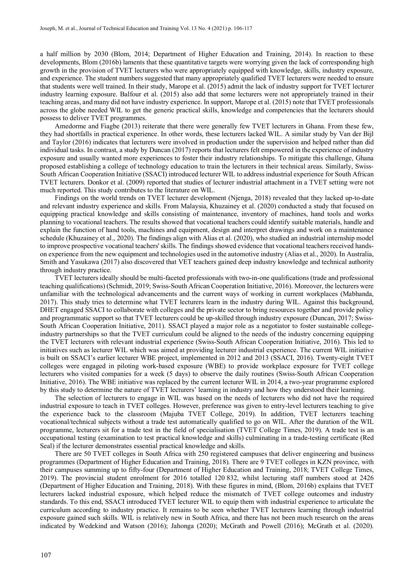a half million by 2030 (Blom, 2014; Department of Higher Education and Training, 2014). In reaction to these developments, Blom (2016b) laments that these quantitative targets were worrying given the lack of corresponding high growth in the provision of TVET lecturers who were appropriately equipped with knowledge, skills, industry exposure, and experience. The student numbers suggested that many appropriately qualified TVET lecturers were needed to ensure that students were well trained. In their study, Marope et al. (2015) admit the lack of industry support for TVET lecturer industry learning exposure. Balfour et al. (2015) also add that some lecturers were not appropriately trained in their teaching areas, and many did not have industry experience. In support, Marope et al. (2015) note that TVET professionals across the globe needed WIL to get the generic practical skills, knowledge and competencies that the lecturers should possess to deliver TVET programmes.

Amedorme and Fiagbe (2013) reiterate that there were generally few TVET lecturers in Ghana. From these few, they had shortfalls in practical experience. In other words, these lecturers lacked WIL. A similar study by Van der Bijl and Taylor (2016) indicates that lecturers were involved in production under the supervision and helped rather than did individual tasks. In contrast, a study by Duncan (2017) reports that lecturers felt empowered in the experience of industry exposure and usually wanted more experiences to foster their industry relationships. To mitigate this challenge, Ghana proposed establishing a college of technology education to train the lecturers in their technical areas. Similarly, Swiss-South African Cooperation Initiative (SSACI) introduced lecturer WIL to address industrial experience for South African TVET lecturers. Donkor et al. (2009) reported that studies of lecturer industrial attachment in a TVET setting were not much reported. This study contributes to the literature on WIL.

Findings on the world trends on TVET lecturer development (Njenga, 2018) revealed that they lacked up-to-date and relevant industry experience and skills. From Malaysia, Khuzainey et al. (2020) conducted a study that focused on equipping practical knowledge and skills consisting of maintenance, inventory of machines, hand tools and works planning to vocational teachers. The results showed that vocational teachers could identify suitable materials, handle and explain the function of hand tools, machines and equipment, design and interpret drawings and work on a maintenance schedule (Khuzainey et al., 2020). The findings align with Alias et al. (2020), who studied an industrial internship model to improve prospective vocational teachers' skills. The findings showed evidence that vocational teachers received handson experience from the new equipment and technologies used in the automotive industry (Alias et al., 2020). In Australia, Smith and Yasukawa (2017) also discovered that VET teachers gained deep industry knowledge and technical authority through industry practice.

TVET lecturers ideally should be multi-faceted professionals with two-in-one qualifications (trade and professional teaching qualifications) (Schmidt, 2019; Swiss-South African Cooperation Initiative, 2016). Moreover, the lecturers were unfamiliar with the technological advancements and the current ways of working in current workplaces (Mabhanda, 2017). This study tries to determine what TVET lecturers learn in the industry during WIL. Against this background, DHET engaged SSACI to collaborate with colleges and the private sector to bring resources together and provide policy and programmatic support so that TVET lecturers could be up-skilled through industry exposure (Duncan, 2017; Swiss-South African Cooperation Initiative, 2011). SSACI played a major role as a negotiator to foster sustainable collegeindustry partnerships so that the TVET curriculum could be aligned to the needs of the industry concerning equipping the TVET lecturers with relevant industrial experience (Swiss-South African Cooperation Initiative, 2016). This led to initiatives such as lecturer WIL which was aimed at providing lecturer industrial experience. The current WIL initiative is built on SSACI's earlier lecturer WBE project, implemented in 2012 and 2013 (SSACI, 2016). Twenty-eight TVET colleges were engaged in piloting work-based exposure (WBE) to provide workplace exposure for TVET college lecturers who visited companies for a week (5 days) to observe the daily routines (Swiss-South African Cooperation Initiative, 2016). The WBE initiative was replaced by the current lecturer WIL in 2014, a two-year programme explored by this study to determine the nature of TVET lecturers' learning in industry and how they understood their learning.

The selection of lecturers to engage in WIL was based on the needs of lecturers who did not have the required industrial exposure to teach in TVET colleges. However, preference was given to entry-level lecturers teaching to give the experience back to the classroom (Majuba TVET College, 2019). In addition, TVET lecturers teaching vocational/technical subjects without a trade test automatically qualified to go on WIL. After the duration of the WIL programme, lecturers sit for a trade test in the field of specialisation (TVET College Times, 2019). A trade test is an occupational testing (examination to test practical knowledge and skills) culminating in a trade-testing certificate (Red Seal) if the lecturer demonstrates essential practical knowledge and skills.

There are 50 TVET colleges in South Africa with 250 registered campuses that deliver engineering and business programmes (Department of Higher Education and Training, 2018). There are 9 TVET colleges in KZN province, with their campuses summing up to fifty-four (Department of Higher Education and Training, 2018; TVET College Times, 2019). The provincial student enrolment for 2016 totalled 120 832, whilst lecturing staff numbers stood at 2426 (Department of Higher Education and Training, 2018). With these figures in mind, (Blom, 2016b) explains that TVET lecturers lacked industrial exposure, which helped reduce the mismatch of TVET college outcomes and industry standards. To this end, SSACI introduced TVET lecturer WIL to equip them with industrial experience to articulate the curriculum according to industry practice. It remains to be seen whether TVET lecturers learning through industrial exposure gained such skills. WIL is relatively new in South Africa, and there has not been much research on the areas indicated by Wedekind and Watson (2016); Jahonga (2020); McGrath and Powell (2016); McGrath et al. (2020).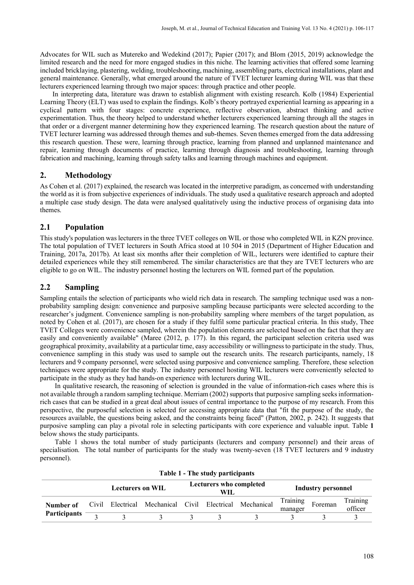Advocates for WIL such as Mutereko and Wedekind (2017); Papier (2017); and Blom (2015, 2019) acknowledge the limited research and the need for more engaged studies in this niche. The learning activities that offered some learning included bricklaying, plastering, welding, troubleshooting, machining, assembling parts, electrical installations, plant and general maintenance. Generally, what emerged around the nature of TVET lecturer learning during WIL was that these lecturers experienced learning through two major spaces: through practice and other people.

In interpreting data, literature was drawn to establish alignment with existing research. Kolb (1984) Experiential Learning Theory (ELT) was used to explain the findings. Kolb's theory portrayed experiential learning as appearing in a cyclical pattern with four stages: concrete experience, reflective observation, abstract thinking and active experimentation. Thus, the theory helped to understand whether lecturers experienced learning through all the stages in that order or a divergent manner determining how they experienced learning. The research question about the nature of TVET lecturer learning was addressed through themes and sub-themes. Seven themes emerged from the data addressing this research question. These were, learning through practice, learning from planned and unplanned maintenance and repair, learning through documents of practice, learning through diagnosis and troubleshooting, learning through fabrication and machining, learning through safety talks and learning through machines and equipment.

## **2. Methodology**

As Cohen et al. (2017) explained, the research was located in the interpretive paradigm, as concerned with understanding the world as it is from subjective experiences of individuals. The study used a qualitative research approach and adopted a multiple case study design. The data were analysed qualitatively using the inductive process of organising data into themes.

#### **2.1 Population**

This study's population was lecturers in the three TVET colleges on WIL or those who completed WIL in KZN province. The total population of TVET lecturers in South Africa stood at 10 504 in 2015 (Department of Higher Education and Training, 2017a, 2017b). At least six months after their completion of WIL, lecturers were identified to capture their detailed experiences while they still remembered. The similar characteristics are that they are TVET lecturers who are eligible to go on WIL. The industry personnel hosting the lecturers on WIL formed part of the population.

## **2.2 Sampling**

Sampling entails the selection of participants who wield rich data in research. The sampling technique used was a nonprobability sampling design: convenience and purposive sampling because participants were selected according to the researcher's judgment. Convenience sampling is non-probability sampling where members of the target population, as noted by Cohen et al. (2017), are chosen for a study if they fulfil some particular practical criteria. In this study, Thee TVET Colleges were convenience sampled, wherein the population elements are selected based on the fact that they are easily and conveniently available" (Maree (2012, p. 177). In this regard, the participant selection criteria used was geographical proximity, availability at a particular time, easy accessibility or willingness to participate in the study. Thus, convenience sampling in this study was used to sample out the research units. The research participants, namely, 18 lecturers and 9 company personnel, were selected using purposive and convenience sampling. Therefore, these selection techniques were appropriate for the study. The industry personnel hosting WIL lecturers were conveniently selected to participate in the study as they had hands-on experience with lecturers during WIL.

In qualitative research, the reasoning of selection is grounded in the value of information-rich cases where this is not available through a random sampling technique. Merriam (2002) supports that purposive sampling seeks informationrich cases that can be studied in a great deal about issues of central importance to the purpose of my research. From this perspective, the purposeful selection is selected for accessing appropriate data that "fit the purpose of the study, the resources available, the questions being asked, and the constraints being faced" (Patton, 2002, p. 242). It suggests that purposive sampling can play a pivotal role in selecting participants with core experience and valuable input. Table **1** below shows the study participants.

Table 1 shows the total number of study participants (lecturers and company personnel) and their areas of specialisation. The total number of participants for the study was twenty-seven (18 TVET lecturers and 9 industry personnel).

|                                  |  | Lecturers on WIL |                                                         | <b>Lecturers who completed</b><br>WIL. |  |  | Industry personnel  |         |                     |
|----------------------------------|--|------------------|---------------------------------------------------------|----------------------------------------|--|--|---------------------|---------|---------------------|
| Number of<br><b>Participants</b> |  |                  | Civil Electrical Mechanical Civil Electrical Mechanical |                                        |  |  | Training<br>manager | Foreman | Training<br>officer |
|                                  |  |                  |                                                         |                                        |  |  |                     |         |                     |

**Table 1 - The study participants**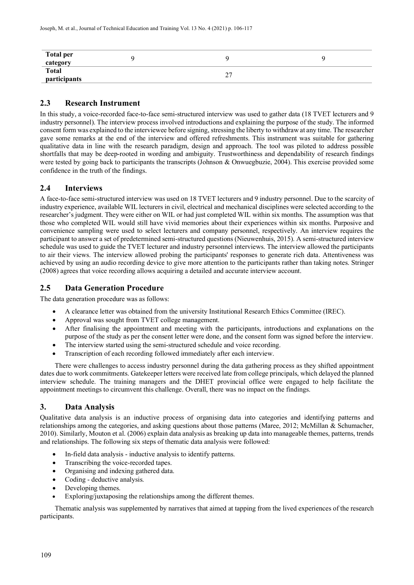| Total per<br>category        |                                       |  |
|------------------------------|---------------------------------------|--|
| <b>Total</b><br>participants | <b>^^</b><br>$\overline{\phantom{a}}$ |  |

# **2.3 Research Instrument**

In this study, a voice-recorded face-to-face semi-structured interview was used to gather data (18 TVET lecturers and 9 industry personnel). The interview process involved introductions and explaining the purpose of the study. The informed consent form was explained to the interviewee before signing, stressing the liberty to withdraw at any time. The researcher gave some remarks at the end of the interview and offered refreshments. This instrument was suitable for gathering qualitative data in line with the research paradigm, design and approach. The tool was piloted to address possible shortfalls that may be deep-rooted in wording and ambiguity. Trustworthiness and dependability of research findings were tested by going back to participants the transcripts (Johnson & Onwuegbuzie, 2004). This exercise provided some confidence in the truth of the findings.

## **2.4 Interviews**

A face-to-face semi-structured interview was used on 18 TVET lecturers and 9 industry personnel. Due to the scarcity of industry experience, available WIL lecturers in civil, electrical and mechanical disciplines were selected according to the researcher's judgment. They were either on WIL or had just completed WIL within six months. The assumption was that those who completed WIL would still have vivid memories about their experiences within six months. Purposive and convenience sampling were used to select lecturers and company personnel, respectively. An interview requires the participant to answer a set of predetermined semi-structured questions (Nieuwenhuis, 2015). A semi-structured interview schedule was used to guide the TVET lecturer and industry personnel interviews. The interview allowed the participants to air their views. The interview allowed probing the participants' responses to generate rich data. Attentiveness was achieved by using an audio recording device to give more attention to the participants rather than taking notes. Stringer (2008) agrees that voice recording allows acquiring a detailed and accurate interview account.

# **2.5 Data Generation Procedure**

The data generation procedure was as follows:

- A clearance letter was obtained from the university Institutional Research Ethics Committee (IREC).
- Approval was sought from TVET college management.
- After finalising the appointment and meeting with the participants, introductions and explanations on the purpose of the study as per the consent letter were done, and the consent form was signed before the interview.
- The interview started using the semi-structured schedule and voice recording.
- Transcription of each recording followed immediately after each interview.

There were challenges to access industry personnel during the data gathering process as they shifted appointment dates due to work commitments. Gatekeeper letters were received late from college principals, which delayed the planned interview schedule. The training managers and the DHET provincial office were engaged to help facilitate the appointment meetings to circumvent this challenge. Overall, there was no impact on the findings.

# **3. Data Analysis**

Qualitative data analysis is an inductive process of organising data into categories and identifying patterns and relationships among the categories, and asking questions about those patterns (Maree, 2012; McMillan & Schumacher, 2010). Similarly, Mouton et al. (2006) explain data analysis as breaking up data into manageable themes, patterns, trends and relationships. The following six steps of thematic data analysis were followed:

- In-field data analysis inductive analysis to identify patterns.
- Transcribing the voice-recorded tapes.
- Organising and indexing gathered data.
- Coding deductive analysis.
- Developing themes.
- Exploring/juxtaposing the relationships among the different themes.

Thematic analysis was supplemented by narratives that aimed at tapping from the lived experiences of the research participants.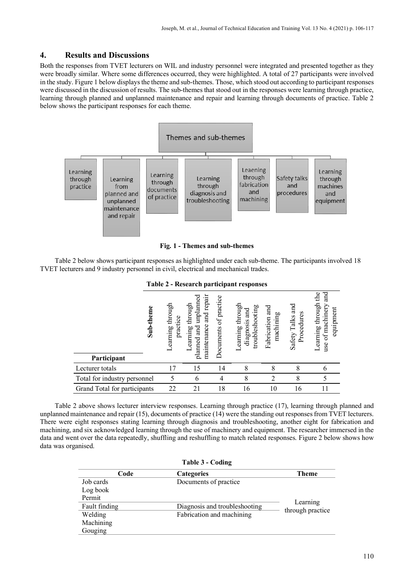## **4. Results and Discussions**

Both the responses from TVET lecturers on WIL and industry personnel were integrated and presented together as they were broadly similar. Where some differences occurred, they were highlighted. A total of 27 participants were involved in the study. Figure 1 below displays the theme and sub-themes. Those, which stood out according to participant responses were discussed in the discussion of results. The sub-themes that stood out in the responses were learning through practice, learning through planned and unplanned maintenance and repair and learning through documents of practice. [Table 2](#page-4-0) below shows the participant responses for each theme.



**Fig. 1 - Themes and sub-themes**

<span id="page-4-0"></span>Table 2 below shows participant responses as highlighted under each sub-theme. The participants involved 18 TVET lecturers and 9 industry personnel in civil, electrical and mechanical trades.

|                              |           |                                  |                                                                                 |                          | $\frac{1}{2}$                                          |                                 |                                |                                                                             |
|------------------------------|-----------|----------------------------------|---------------------------------------------------------------------------------|--------------------------|--------------------------------------------------------|---------------------------------|--------------------------------|-----------------------------------------------------------------------------|
| Participant                  | Sub-theme | earning through<br>practice<br>╾ | and repair<br>umplanned<br>through<br>maintenance<br>and<br>Learning<br>planned | of practice<br>Documents | earning through<br>troubleshooting<br>and<br>diagnosis | and<br>machining<br>Fabrication | Safety Talks and<br>Procedures | аnd<br>$\mathbf{d}$<br>Learning through<br>of machinery<br>equipment<br>use |
| Lecturer totals              |           | 17                               | 15                                                                              | 14                       | 8                                                      | 8                               | 8                              |                                                                             |
| Total for industry personnel |           | 5                                | 6                                                                               | 4                        | 8                                                      | $\overline{2}$                  | 8                              |                                                                             |
| Grand Total for participants |           | 22                               | 21                                                                              | 18                       | 16                                                     | 10                              | 16                             | 11                                                                          |

**Table 2 - Research participant responses**

Table 2 above shows lecturer interview responses. Learning through practice (17), learning through planned and unplanned maintenance and repair (15), documents of practice (14) were the standing out responses from TVET lecturers. There were eight responses stating learning through diagnosis and troubleshooting, another eight for fabrication and machining, and six acknowledged learning through the use of machinery and equipment. The researcher immersed in the data and went over the data repeatedly, shuffling and reshuffling to match related responses. Figure 2 below shows how data was organised.

| Table 3 - Coding |                               |                              |  |  |  |  |
|------------------|-------------------------------|------------------------------|--|--|--|--|
| Code             | <b>Categories</b>             | <b>Theme</b>                 |  |  |  |  |
| Job cards        | Documents of practice         |                              |  |  |  |  |
| Log book         |                               |                              |  |  |  |  |
| Permit           |                               |                              |  |  |  |  |
| Fault finding    | Diagnosis and troubleshooting | Learning<br>through practice |  |  |  |  |
| Welding          | Fabrication and machining     |                              |  |  |  |  |
| Machining        |                               |                              |  |  |  |  |
| Gouging          |                               |                              |  |  |  |  |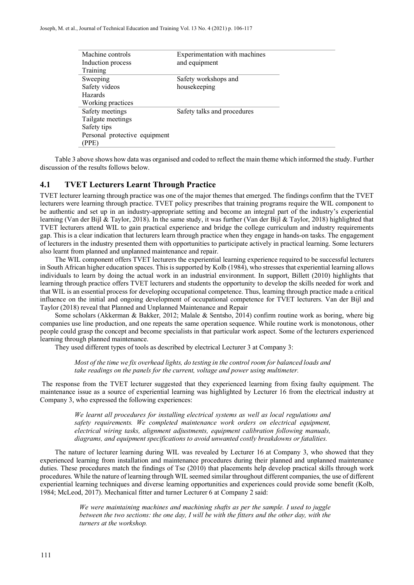| Machine controls              | Experimentation with machines |  |
|-------------------------------|-------------------------------|--|
| Induction process             | and equipment                 |  |
| Training                      |                               |  |
| Sweeping                      | Safety workshops and          |  |
| Safety videos                 | housekeeping                  |  |
| Hazards                       |                               |  |
| Working practices             |                               |  |
| Safety meetings               | Safety talks and procedures   |  |
| Tailgate meetings             |                               |  |
| Safety tips                   |                               |  |
| Personal protective equipment |                               |  |
| (PPE)                         |                               |  |
|                               |                               |  |

Table 3 above shows how data was organised and coded to reflect the main theme which informed the study. Further discussion of the results follows below.

#### **4.1 TVET Lecturers Learnt Through Practice**

TVET lecturer learning through practice was one of the major themes that emerged. The findings confirm that the TVET lecturers were learning through practice. TVET policy prescribes that training programs require the WIL component to be authentic and set up in an industry-appropriate setting and become an integral part of the industry's experiential learning (Van der Bijl & Taylor, 2018). In the same study, it was further (Van der Bijl & Taylor, 2018) highlighted that TVET lecturers attend WIL to gain practical experience and bridge the college curriculum and industry requirements gap. This is a clear indication that lecturers learn through practice when they engage in hands-on tasks. The engagement of lecturers in the industry presented them with opportunities to participate actively in practical learning. Some lecturers also learnt from planned and unplanned maintenance and repair.

The WIL component offers TVET lecturers the experiential learning experience required to be successful lecturers in South African higher education spaces. This is supported by Kolb (1984), who stresses that experiential learning allows individuals to learn by doing the actual work in an industrial environment. In support, Billett (2010) highlights that learning through practice offers TVET lecturers and students the opportunity to develop the skills needed for work and that WIL is an essential process for developing occupational competence. Thus, learning through practice made a critical influence on the initial and ongoing development of occupational competence for TVET lecturers. Van der Bijl and Taylor (2018) reveal that Planned and Unplanned Maintenance and Repair

Some scholars (Akkerman & Bakker, 2012; Malale & Sentsho, 2014) confirm routine work as boring, where big companies use line production, and one repeats the same operation sequence. While routine work is monotonous, other people could grasp the concept and become specialists in that particular work aspect. Some of the lecturers experienced learning through planned maintenance.

They used different types of tools as described by electrical Lecturer 3 at Company 3:

*Most of the time we fix overhead lights, do testing in the control room for balanced loads and take readings on the panels for the current, voltage and power using multimeter.*

The response from the TVET lecturer suggested that they experienced learning from fixing faulty equipment. The maintenance issue as a source of experiential learning was highlighted by Lecturer 16 from the electrical industry at Company 3, who expressed the following experiences:

> *We learnt all procedures for installing electrical systems as well as local regulations and safety requirements. We completed maintenance work orders on electrical equipment, electrical wiring tasks, alignment adjustments, equipment calibration following manuals, diagrams, and equipment specifications to avoid unwanted costly breakdowns or fatalities.*

The nature of lecturer learning during WIL was revealed by Lecturer 16 at Company 3, who showed that they experienced learning from installation and maintenance procedures during their planned and unplanned maintenance duties. These procedures match the findings of Tse (2010) that placements help develop practical skills through work procedures. While the nature of learning through WIL seemed similar throughout different companies, the use of different experiential learning techniques and diverse learning opportunities and experiences could provide some benefit (Kolb, 1984; McLeod, 2017). Mechanical fitter and turner Lecturer 6 at Company 2 said:

> *We were maintaining machines and machining shafts as per the sample. I used to juggle between the two sections: the one day, I will be with the fitters and the other day, with the turners at the workshop.*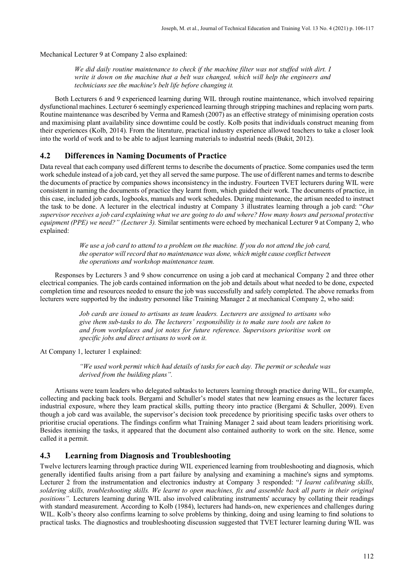Mechanical Lecturer 9 at Company 2 also explained:

*We did daily routine maintenance to check if the machine filter was not stuffed with dirt. I write it down on the machine that a belt was changed, which will help the engineers and technicians see the machine's belt life before changing it.*

Both Lecturers 6 and 9 experienced learning during WIL through routine maintenance, which involved repairing dysfunctional machines. Lecturer 6 seemingly experienced learning through stripping machines and replacing worn parts. Routine maintenance was described by Verma and Ramesh (2007) as an effective strategy of minimising operation costs and maximising plant availability since downtime could be costly. Kolb posits that individuals construct meaning from their experiences (Kolb, 2014). From the literature, practical industry experience allowed teachers to take a closer look into the world of work and to be able to adjust learning materials to industrial needs (Bukit, 2012).

## **4.2 Differences in Naming Documents of Practice**

Data reveal that each company used different terms to describe the documents of practice. Some companies used the term work schedule instead of a job card, yet they all served the same purpose. The use of different names and terms to describe the documents of practice by companies shows inconsistency in the industry. Fourteen TVET lecturers during WIL were consistent in naming the documents of practice they learnt from, which guided their work. The documents of practice, in this case, included job cards, logbooks, manuals and work schedules. During maintenance, the artisan needed to instruct the task to be done. A lecturer in the electrical industry at Company 3 illustrates learning through a job card: "*Our supervisor receives a job card explaining what we are going to do and where? How many hours and personal protective equipment (PPE) we need?" (Lecturer 3).* Similar sentiments were echoed by mechanical Lecturer 9 at Company 2, who explained:

> *We use a job card to attend to a problem on the machine. If you do not attend the job card, the operator will record that no maintenance was done, which might cause conflict between the operations and workshop maintenance team.*

Responses by Lecturers 3 and 9 show concurrence on using a job card at mechanical Company 2 and three other electrical companies. The job cards contained information on the job and details about what needed to be done, expected completion time and resources needed to ensure the job was successfully and safely completed. The above remarks from lecturers were supported by the industry personnel like Training Manager 2 at mechanical Company 2, who said:

> *Job cards are issued to artisans as team leaders. Lecturers are assigned to artisans who give them sub-tasks to do. The lecturers' responsibility is to make sure tools are taken to and from workplaces and jot notes for future reference. Supervisors prioritise work on specific jobs and direct artisans to work on it.*

At Company 1, lecturer 1 explained:

*"We used work permit which had details of tasks for each day. The permit or schedule was derived from the building plans".*

Artisans were team leaders who delegated subtasks to lecturers learning through practice during WIL, for example, collecting and packing back tools. Bergami and Schuller's model states that new learning ensues as the lecturer faces industrial exposure, where they learn practical skills, putting theory into practice (Bergami & Schuller, 2009). Even though a job card was available, the supervisor's decision took precedence by prioritising specific tasks over others to prioritise crucial operations. The findings confirm what Training Manager 2 said about team leaders prioritising work. Besides itemising the tasks, it appeared that the document also contained authority to work on the site. Hence, some called it a permit.

## **4.3 Learning from Diagnosis and Troubleshooting**

Twelve lecturers learning through practice during WIL experienced learning from troubleshooting and diagnosis, which generally identified faults arising from a part failure by analysing and examining a machine's signs and symptoms. Lecturer 2 from the instrumentation and electronics industry at Company 3 responded: "*I learnt calibrating skills, soldering skills, troubleshooting skills. We learnt to open machines, fix and assemble back all parts in their original positions".* Lecturers learning during WIL also involved calibrating instruments' accuracy by collating their readings with standard measurement. According to Kolb (1984), lecturers had hands-on, new experiences and challenges during WIL. Kolb's theory also confirms learning to solve problems by thinking, doing and using learning to find solutions to practical tasks. The diagnostics and troubleshooting discussion suggested that TVET lecturer learning during WIL was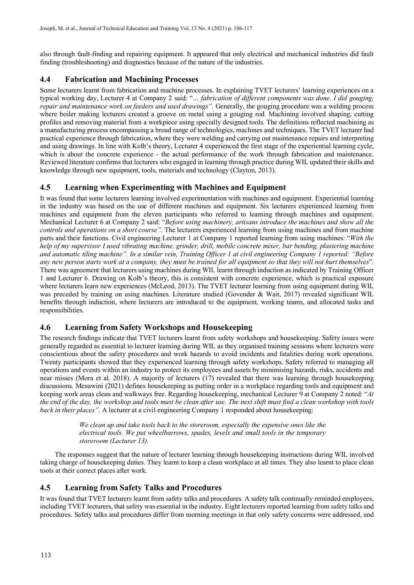also through fault-finding and repairing equipment. It appeared that only electrical and mechanical industries did fault finding (troubleshooting) and diagnostics because of the nature of the industries.

# **4.4 Fabrication and Machining Processes**

Some lecturers learnt from fabrication and machine processes. In explaining TVET lecturers' learning experiences on a typical working day, Lecturer 4 at Company 2 said: "*… fabrication of different components was done. I did gouging, repair and maintenance work on feeders and used drawings".* Generally, the gouging procedure was a welding process where boiler making lecturers created a groove on metal using a gouging rod. Machining involved shaping, cutting profiles and removing material from a workpiece using specially designed tools. The definitions reflected machining as a manufacturing process encompassing a broad range of technologies, machines and techniques. The TVET lecturer had practical experience through fabrication, where they were welding and carrying out maintenance repairs and interpreting and using drawings. In line with Kolb's theory, Lecturer 4 experienced the first stage of the experiential learning cycle, which is about the concrete experience - the actual performance of the work through fabrication and maintenance. Reviewed literature confirms that lecturers who engaged in learning through practice during WIL updated their skills and knowledge through new equipment, tools, materials and technology (Clayton, 2013).

# **4.5 Learning when Experimenting with Machines and Equipment**

It was found that some lecturers learning involved experimentation with machines and equipment. Experiential learning in the industry was based on the use of different machines and equipment. Six lecturers experienced learning from machines and equipment from the eleven participants who referred to learning through machines and equipment. Mechanical Lecturer 6 at Company 2 said: "*Before using machinery, artisans introduce the machines and show all the controls and operations on a short course".* The lecturers experienced learning from using machines and from machine parts and their functions. Civil engineering Lecturer 1 at Company 1 reported learning from using machines: "*With the help of my supervisor I used vibrating machine, grinder, drill, mobile concrete mixer, bar bending, plastering machine and automatic tiling machine". In a similar vein, Training Officer 1 at civil engineering Company 1 reported: "Before any new person starts work at a company, they must be trained for all equipment so that they will not hurt themselves*". There was agreement that lecturers using machines during WIL learnt through induction as indicated by Training Officer 1 and Lecturer 6. Drawing on Kolb's theory, this is consistent with concrete experience, which is practical exposure where lecturers learn new experiences (McLeod, 2013). The TVET lecturer learning from using equipment during WIL was preceded by training on using machines. Literature studied (Govender & Wait, 2017) revealed significant WIL benefits through induction, where lecturers are introduced to the equipment, working teams, and allocated tasks and responsibilities.

# **4.6 Learning from Safety Workshops and Housekeeping**

The research findings indicate that TVET lecturers learnt from safety workshops and housekeeping. Safety issues were generally regarded as essential to lecturer learning during WIL as they organised training sessions where lecturers were conscientious about the safety procedures and work hazards to avoid incidents and fatalities during work operations. Twenty participants showed that they experienced learning through safety workshops. Safety referred to managing all operations and events within an industry to protect its employees and assets by minimising hazards, risks, accidents and near misses (Mora et al. 2018). A majority of lecturers (17) revealed that there was learning through housekeeping discussions. Mesuwini (2021) defines housekeeping as putting order in a workplace regarding tools and equipment and keeping work areas clean and walkways free. Regarding housekeeping, mechanical Lecturer 9 at Company 2 noted: "*At the end of the day, the workshop and tools must be clean after use. The next shift must find a clean workshop with tools back in their places".* A lecturer at a civil engineering Company 1 responded about housekeeping:

> *We clean up and take tools back to the storeroom, especially the expensive ones like the electrical tools. We put wheelbarrows, spades, levels and small tools in the temporary storeroom (Lecturer 13).*

The responses suggest that the nature of lecturer learning through housekeeping instructions during WIL involved taking charge of housekeeping duties. They learnt to keep a clean workplace at all times. They also learnt to place clean tools at their correct places after work.

# **4.5 Learning from Safety Talks and Procedures**

It was found that TVET lecturers learnt from safety talks and procedures. A safety talk continually reminded employees, including TVET lecturers, that safety was essential in the industry. Eight lecturers reported learning from safety talks and procedures. Safety talks and procedures differ from morning meetings in that only safety concerns were addressed, and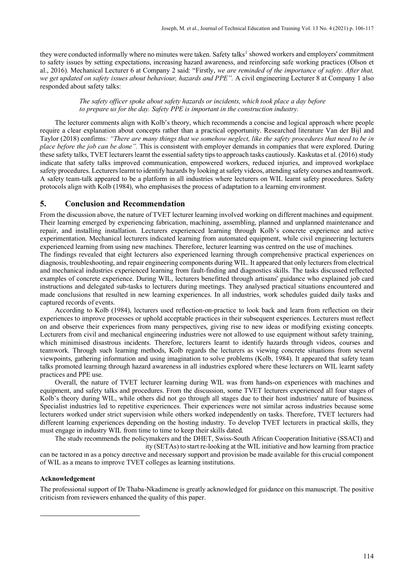they were conducted informally where no minutes were taken. Safety talks<sup>[1](#page-8-0)</sup> showed workers and employers' commitment to safety issues by setting expectations, increasing hazard awareness, and reinforcing safe working practices (Olson et al., 2016). Mechanical Lecturer 6 at Company 2 said: "Firstly, *we are reminded of the importance of safety. After that, we get updated on safety issues about behaviour, hazards and PPE".* A civil engineering Lecturer 8 at Company 1 also responded about safety talks:

#### *The safety officer spoke about safety hazards or incidents, which took place a day before to prepare us for the day. Safety PPE is important in the construction industry.*

The lecturer comments align with Kolb's theory, which recommends a concise and logical approach where people require a clear explanation about concepts rather than a practical opportunity. Researched literature Van der Bijl and Taylor (2018) confirms*: "There are many things that we somehow neglect, like the safety procedures that need to be in place before the job can be done".* This is consistent with employer demands in companies that were explored. During these safety talks, TVET lecturers learnt the essential safety tips to approach tasks cautiously. Kaskutas et al. (2016) study indicate that safety talks improved communication, empowered workers, reduced injuries, and improved workplace safety procedures. Lecturers learnt to identify hazards by looking at safety videos, attending safety courses and teamwork. A safety team-talk appeared to be a platform in all industries where lecturers on WIL learnt safety procedures. Safety protocols align with Kolb (1984), who emphasises the process of adaptation to a learning environment.

#### **5. Conclusion and Recommendation**

From the discussion above, the nature of TVET lecturer learning involved working on different machines and equipment. Their learning emerged by experiencing fabrication, machining, assembling, planned and unplanned maintenance and repair, and installing installation. Lecturers experienced learning through Kolb's concrete experience and active experimentation. Mechanical lecturers indicated learning from automated equipment, while civil engineering lecturers experienced learning from using new machines. Therefore, lecturer learning was centred on the use of machines.

The findings revealed that eight lecturers also experienced learning through comprehensive practical experiences on diagnosis, troubleshooting, and repair engineering components during WIL. It appeared that only lecturers from electrical and mechanical industries experienced learning from fault-finding and diagnostics skills. The tasks discussed reflected examples of concrete experience. During WIL, lecturers benefitted through artisans' guidance who explained job card instructions and delegated sub-tasks to lecturers during meetings. They analysed practical situations encountered and made conclusions that resulted in new learning experiences. In all industries, work schedules guided daily tasks and captured records of events.

According to Kolb (1984), lecturers used reflection-on-practice to look back and learn from reflection on their experiences to improve processes or uphold acceptable practices in their subsequent experiences. Lecturers must reflect on and observe their experiences from many perspectives, giving rise to new ideas or modifying existing concepts. Lecturers from civil and mechanical engineering industries were not allowed to use equipment without safety training, which minimised disastrous incidents. Therefore, lecturers learnt to identify hazards through videos, courses and teamwork. Through such learning methods, Kolb regards the lecturers as viewing concrete situations from several viewpoints, gathering information and using imagination to solve problems (Kolb, 1984). It appeared that safety team talks promoted learning through hazard awareness in all industries explored where these lecturers on WIL learnt safety practices and PPE use.

Overall, the nature of TVET lecturer learning during WIL was from hands-on experiences with machines and equipment, and safety talks and procedures. From the discussion, some TVET lecturers experienced all four stages of Kolb's theory during WIL, while others did not go through all stages due to their host industries' nature of business. Specialist industries led to repetitive experiences. Their experiences were not similar across industries because some lecturers worked under strict supervision while others worked independently on tasks. Therefore, TVET lecturers had different learning experiences depending on the hosting industry. To develop TVET lecturers in practical skills, they must engage in industry WIL from time to time to keep their skills dated.

The study recommends the policymakers and the DHET, Swiss-South African Cooperation Initiative (SSACI) and ity (SETAs) to start re-looking at the WIL initiative and how learning from practice can be factored in as a policy directive and necessary support and provision be made available for this crucial component of WIL as a means to improve TVET colleges as learning institutions.

#### **Acknowledgement**

<span id="page-8-0"></span>The professional support of Dr Thaba-Nkadimene is greatly acknowledged for guidance on this manuscript. The positive criticism from reviewers enhanced the quality of this paper.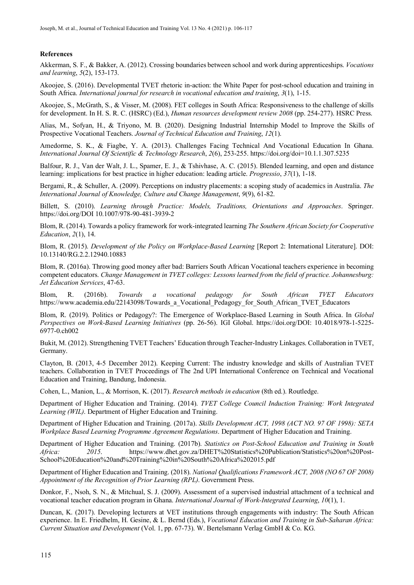#### **References**

Akkerman, S. F., & Bakker, A. (2012). Crossing boundaries between school and work during apprenticeships. *Vocations and learning*, *5*(2), 153-173.

Akoojee, S. (2016). Developmental TVET rhetoric in-action: the White Paper for post-school education and training in South Africa. *International journal for research in vocational education and training*, *3*(1), 1-15.

Akoojee, S., McGrath, S., & Visser, M. (2008). FET colleges in South Africa: Responsiveness to the challenge of skills for development. In H. S. R. C. (HSRC) (Ed.), *Human resources development review 2008* (pp. 254-277). HSRC Press.

Alias, M., Sofyan, H., & Triyono, M. B. (2020). Designing Industrial Internship Model to Improve the Skills of Prospective Vocational Teachers. *Journal of Technical Education and Training*, *12*(1).

Amedorme, S. K., & Fiagbe, Y. A. (2013). Challenges Facing Technical And Vocational Education In Ghana. *International Journal Of Scientific & Technology Research*, *2*(6), 253-255.<https://doi.org/doi=10.1.1.307.5235>

Balfour, R. J., Van der Walt, J. L., Spamer, E. J., & Tshivhase, A. C. (2015). Blended learning, and open and distance learning: implications for best practice in higher education: leading article. *Progressio*, *37*(1), 1-18.

Bergami, R., & Schuller, A. (2009). Perceptions on industry placements: a scoping study of academics in Australia. *The International Journal of Knowledge, Culture and Change Management*, *9*(9), 61-82.

Billett, S. (2010). *Learning through Practice: Models, Traditions, Orientations and Approaches*. Springer. <https://doi.org/DOI> 10.1007/978-90-481-3939-2

Blom, R. (2014). Towards a policy framework for work-integrated learning *The Southern African Society for Cooperative Education*, *2*(1), 14.

Blom, R. (2015). *Development of the Policy on Workplace-Based Learning* [Report 2: International Literature]. DOI: 10.13140/RG.2.2.12940.10883

Blom, R. (2016a). Throwing good money after bad: Barriers South African Vocational teachers experience in becoming competent educators. *Change Management in TVET colleges: Lessons learned from the field of practice. Johannesburg: Jet Education Services*, 47-63.

Blom, R. (2016b). *Towards a vocational pedagogy for South African TVET Educators* [https://www.academia.edu/22143098/Towards\\_a\\_Vocational\\_Pedagogy\\_for\\_South\\_African\\_TVET\\_Educators](https://www.academia.edu/22143098/Towards_a_Vocational_Pedagogy_for_South_African_TVET_Educators)

Blom, R. (2019). Politics or Pedagogy?: The Emergence of Workplace-Based Learning in South Africa. In *Global Perspectives on Work-Based Learning Initiatives* (pp. 26-56). IGI Global. [https://doi.org/DOI:](https://doi.org/DOI) 10.4018/978-1-5225- 6977-0.ch002

Bukit, M. (2012). Strengthening TVET Teachers' Education through Teacher-Industry Linkages. Collaboration in TVET, Germany.

Clayton, B. (2013, 4-5 December 2012). Keeping Current: The industry knowledge and skills of Australian TVET teachers. Collaboration in TVET Proceedings of The 2nd UPI International Conference on Technical and Vocational Education and Training, Bandung, Indonesia.

Cohen, L., Manion, L., & Morrison, K. (2017). *Research methods in education* (8th ed.). Routledge.

Department of Higher Education and Training. (2014). *TVET College Council Induction Training: Work Integrated Learning (WIL)*. Department of Higher Education and Training.

Department of Higher Education and Training. (2017a). *Skills Development ACT, 1998 (ACT NO. 97 OF 1998): SETA Workplace Based Learning Programme Agreement Regulations*. Department of Higher Education and Training.

Department of Higher Education and Training. (2017b). *Statistics on Post-School Education and Training in South Africa: 2015*. https://www.dhet.gov.za/DHET%20Statistics%20Publication/Statistics%20on%20Post-School%20Education%20and%20Training%20in%20South%20Africa%202015.pdf

Department of Higher Education and Training. (2018). *National Qualifications Framework ACT, 2008 (NO 67 OF 2008) Appointment of the Recognition of Prior Learning (RPL)*. Government Press.

Donkor, F., Nsoh, S. N., & Mitchual, S. J. (2009). Assessment of a supervised industrial attachment of a technical and vocational teacher education program in Ghana. *International Journal of Work-Integrated Learning*, *10*(1), 1.

Duncan, K. (2017). Developing lecturers at VET institutions through engagements with industry: The South African experience. In E. Friedhelm, H. Gesine, & L. Bernd (Eds.), *Vocational Education and Training in Sub-Saharan Africa: Current Situation and Development* (Vol. 1, pp. 67-73). W. Bertelsmann Verlag GmbH & Co. KG.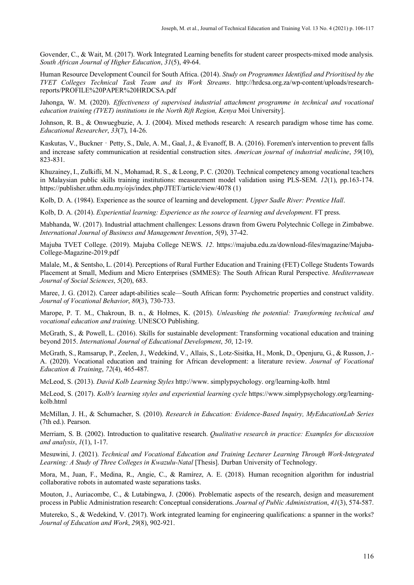Govender, C., & Wait, M. (2017). Work Integrated Learning benefits for student career prospects-mixed mode analysis. *South African Journal of Higher Education*, *31*(5), 49-64.

Human Resource Development Council for South Africa. (2014). *Study on Programmes Identified and Prioritised by the TVET Colleges Technical Task Team and its Work Streams*. [http://hrdcsa.org.za/wp-content/uploads/research](http://hrdcsa.org.za/wp-content/uploads/research-reports/PROFILE%20PAPER%20HRDCSA.pdf)[reports/PROFILE%20PAPER%20HRDCSA.pdf](http://hrdcsa.org.za/wp-content/uploads/research-reports/PROFILE%20PAPER%20HRDCSA.pdf)

Jahonga, W. M. (2020). *Effectiveness of supervised industrial attachment programme in technical and vocational education training (TVET) institutions in the North Rift Region, Kenya* Moi University].

Johnson, R. B., & Onwuegbuzie, A. J. (2004). Mixed methods research: A research paradigm whose time has come. *Educational Researcher*, *33*(7), 14-26.

Kaskutas, V., Buckner - Petty, S., Dale, A. M., Gaal, J., & Evanoff, B. A. (2016). Foremen's intervention to prevent falls and increase safety communication at residential construction sites. *American journal of industrial medicine*, *59*(10), 823-831.

Khuzainey, I., Zulkifli, M. N., Mohamad, R. S., & Leong, P. C. (2020). Technical competency among vocational teachers in Malaysian public skills training institutions: measurement model validation using PLS-SEM. *12*(1), pp.163-174. <https://publisher.uthm.edu.my/ojs/index.php/JTET/article/view/4078> (1)

Kolb, D. A. (1984). Experience as the source of learning and development. *Upper Sadle River: Prentice Hall*.

Kolb, D. A. (2014). *Experiential learning: Experience as the source of learning and development*. FT press.

Mabhanda, W. (2017). Industrial attachment challenges: Lessons drawn from Gweru Polytechnic College in Zimbabwe. *International Journal of Business and Management Invention*, *5*(9), 37-42.

Majuba TVET College. (2019). Majuba College NEWS. *12*. [https://majuba.edu.za/download-files/magazine/Majuba-](https://majuba.edu.za/download-files/magazine/Majuba-College-Magazine-2019.pdf)[College-Magazine-2019.pdf](https://majuba.edu.za/download-files/magazine/Majuba-College-Magazine-2019.pdf)

Malale, M., & Sentsho, L. (2014). Perceptions of Rural Further Education and Training (FET) College Students Towards Placement at Small, Medium and Micro Enterprises (SMMES): The South African Rural Perspective. *Mediterranean Journal of Social Sciences*, *5*(20), 683.

Maree, J. G. (2012). Career adapt-abilities scale—South African form: Psychometric properties and construct validity. *Journal of Vocational Behavior*, *80*(3), 730-733.

Marope, P. T. M., Chakroun, B. n., & Holmes, K. (2015). *Unleashing the potential: Transforming technical and vocational education and training*. UNESCO Publishing.

McGrath, S., & Powell, L. (2016). Skills for sustainable development: Transforming vocational education and training beyond 2015. *International Journal of Educational Development*, *50*, 12-19.

McGrath, S., Ramsarup, P., Zeelen, J., Wedekind, V., Allais, S., Lotz-Sisitka, H., Monk, D., Openjuru, G., & Russon, J.- A. (2020). Vocational education and training for African development: a literature review. *Journal of Vocational Education & Training*, *72*(4), 465-487.

McLeod, S. (2013). *David Kolb Learning Styles* [http://www.](http://www/) simplypsychology. org/learning-kolb. html

McLeod, S. (2017). *Kolb's learning styles and experiential learning cycle* [https://www.simplypsychology.org/learning](https://www.simplypsychology.org/learning-kolb.html)[kolb.html](https://www.simplypsychology.org/learning-kolb.html)

McMillan, J. H., & Schumacher, S. (2010). *Research in Education: Evidence-Based Inquiry, MyEducationLab Series* (7th ed.). Pearson.

Merriam, S. B. (2002). Introduction to qualitative research. *Qualitative research in practice: Examples for discussion and analysis*, *1*(1), 1-17.

Mesuwini, J. (2021). *Technical and Vocational Education and Training Lecturer Learning Through Work-Integrated Learning: A Study of Three Colleges in Kwazulu-Natal* [Thesis]. Durban University of Technology.

Mora, M., Juan, F., Medina, R., Angie, C., & Ramírez, A. E. (2018). Human recognition algorithm for industrial collaborative robots in automated waste separations tasks.

Mouton, J., Auriacombe, C., & Lutabingwa, J. (2006). Problematic aspects of the research, design and measurement process in Public Administration research: Conceptual considerations. *Journal of Public Administration*, *41*(3), 574-587.

Mutereko, S., & Wedekind, V. (2017). Work integrated learning for engineering qualifications: a spanner in the works? *Journal of Education and Work*, *29*(8), 902-921.